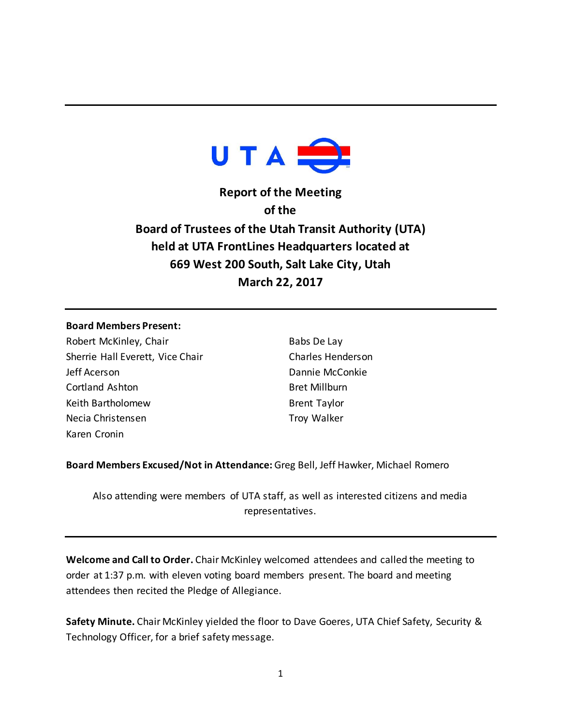

**Report of the Meeting of the Board of Trustees of the Utah Transit Authority (UTA) held at UTA FrontLines Headquarters located at 669 West 200 South, Salt Lake City, Utah March 22, 2017**

## **Board Members Present:**

Robert McKinley, Chair Sherrie Hall Everett, Vice Chair Jeff Acerson Cortland Ashton Keith Bartholomew Necia Christensen Karen Cronin

Babs De Lay Charles Henderson Dannie McConkie Bret Millburn Brent Taylor Troy Walker

**Board Members Excused/Not in Attendance:** Greg Bell, Jeff Hawker, Michael Romero

Also attending were members of UTA staff, as well as interested citizens and media representatives.

**Welcome and Call to Order.** Chair McKinley welcomed attendees and called the meeting to order at 1:37 p.m. with eleven voting board members present. The board and meeting attendees then recited the Pledge of Allegiance.

**Safety Minute.** Chair McKinley yielded the floor to Dave Goeres, UTA Chief Safety, Security & Technology Officer, for a brief safety message.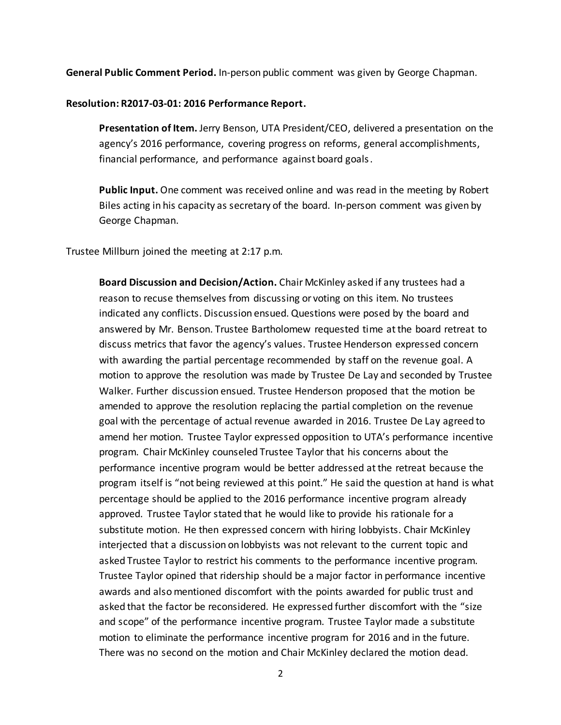**General Public Comment Period.** In-person public comment was given by George Chapman.

## **Resolution: R2017-03-01: 2016 Performance Report.**

**Presentation of Item.** Jerry Benson, UTA President/CEO, delivered a presentation on the agency's 2016 performance, covering progress on reforms, general accomplishments, financial performance, and performance against board goals.

**Public Input.** One comment was received online and was read in the meeting by Robert Biles acting in his capacity as secretary of the board. In-person comment was given by George Chapman.

Trustee Millburn joined the meeting at 2:17 p.m.

**Board Discussion and Decision/Action.** Chair McKinley asked if any trustees had a reason to recuse themselves from discussing or voting on this item. No trustees indicated any conflicts. Discussion ensued. Questions were posed by the board and answered by Mr. Benson. Trustee Bartholomew requested time at the board retreat to discuss metrics that favor the agency's values. Trustee Henderson expressed concern with awarding the partial percentage recommended by staff on the revenue goal. A motion to approve the resolution was made by Trustee De Lay and seconded by Trustee Walker. Further discussion ensued. Trustee Henderson proposed that the motion be amended to approve the resolution replacing the partial completion on the revenue goal with the percentage of actual revenue awarded in 2016. Trustee De Lay agreed to amend her motion. Trustee Taylor expressed opposition to UTA's performance incentive program. Chair McKinley counseled Trustee Taylor that his concerns about the performance incentive program would be better addressed at the retreat because the program itself is "not being reviewed at this point." He said the question at hand is what percentage should be applied to the 2016 performance incentive program already approved. Trustee Taylor stated that he would like to provide his rationale for a substitute motion. He then expressed concern with hiring lobbyists. Chair McKinley interjected that a discussion on lobbyists was not relevant to the current topic and asked Trustee Taylor to restrict his comments to the performance incentive program. Trustee Taylor opined that ridership should be a major factor in performance incentive awards and also mentioned discomfort with the points awarded for public trust and asked that the factor be reconsidered. He expressed further discomfort with the "size and scope" of the performance incentive program. Trustee Taylor made a substitute motion to eliminate the performance incentive program for 2016 and in the future. There was no second on the motion and Chair McKinley declared the motion dead.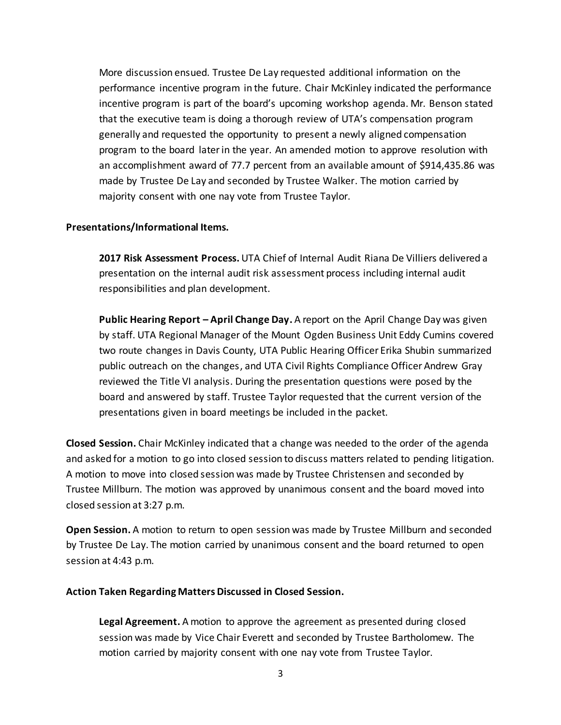More discussion ensued. Trustee De Lay requested additional information on the performance incentive program in the future. Chair McKinley indicated the performance incentive program is part of the board's upcoming workshop agenda. Mr. Benson stated that the executive team is doing a thorough review of UTA's compensation program generally and requested the opportunity to present a newly aligned compensation program to the board later in the year. An amended motion to approve resolution with an accomplishment award of 77.7 percent from an available amount of \$914,435.86 was made by Trustee De Lay and seconded by Trustee Walker. The motion carried by majority consent with one nay vote from Trustee Taylor.

# **Presentations/Informational Items.**

**2017 Risk Assessment Process.** UTA Chief of Internal Audit Riana De Villiers delivered a presentation on the internal audit risk assessment process including internal audit responsibilities and plan development.

**Public Hearing Report – April Change Day.** A report on the April Change Day was given by staff. UTA Regional Manager of the Mount Ogden Business Unit Eddy Cumins covered two route changes in Davis County, UTA Public Hearing Officer Erika Shubin summarized public outreach on the changes, and UTA Civil Rights Compliance Officer Andrew Gray reviewed the Title VI analysis. During the presentation questions were posed by the board and answered by staff. Trustee Taylor requested that the current version of the presentations given in board meetings be included in the packet.

**Closed Session.** Chair McKinley indicated that a change was needed to the order of the agenda and asked for a motion to go into closed session to discuss matters related to pending litigation. A motion to move into closed session was made by Trustee Christensen and seconded by Trustee Millburn. The motion was approved by unanimous consent and the board moved into closed session at 3:27 p.m.

**Open Session.** A motion to return to open session was made by Trustee Millburn and seconded by Trustee De Lay. The motion carried by unanimous consent and the board returned to open session at 4:43 p.m.

### **Action Taken Regarding Matters Discussed in Closed Session.**

**Legal Agreement.** A motion to approve the agreement as presented during closed session was made by Vice Chair Everett and seconded by Trustee Bartholomew. The motion carried by majority consent with one nay vote from Trustee Taylor.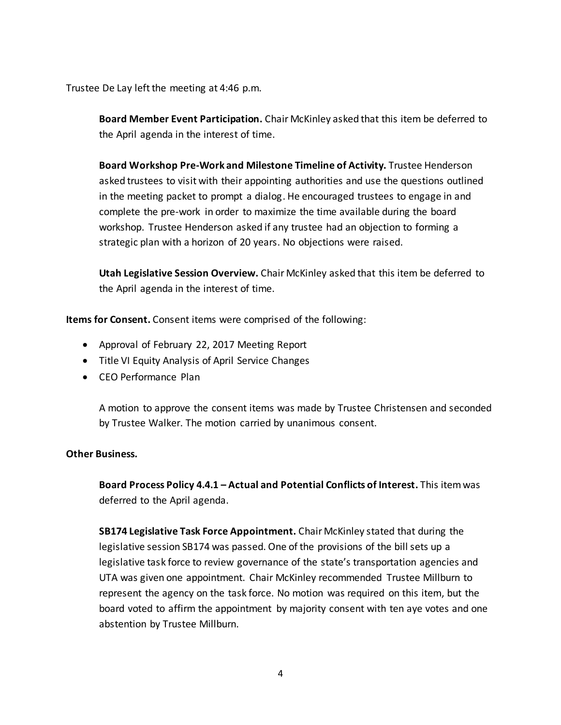Trustee De Lay left the meeting at 4:46 p.m.

**Board Member Event Participation.** Chair McKinley asked that this item be deferred to the April agenda in the interest of time.

**Board Workshop Pre-Work and Milestone Timeline of Activity.** Trustee Henderson asked trustees to visit with their appointing authorities and use the questions outlined in the meeting packet to prompt a dialog. He encouraged trustees to engage in and complete the pre-work in order to maximize the time available during the board workshop. Trustee Henderson asked if any trustee had an objection to forming a strategic plan with a horizon of 20 years. No objections were raised.

**Utah Legislative Session Overview.** Chair McKinley asked that this item be deferred to the April agenda in the interest of time.

**Items for Consent.** Consent items were comprised of the following:

- Approval of February 22, 2017 Meeting Report
- Title VI Equity Analysis of April Service Changes
- CEO Performance Plan

A motion to approve the consent items was made by Trustee Christensen and seconded by Trustee Walker. The motion carried by unanimous consent.

# **Other Business.**

**Board Process Policy 4.4.1 – Actual and Potential Conflicts of Interest.** This item was deferred to the April agenda.

**SB174 Legislative Task Force Appointment.** Chair McKinley stated that during the legislative session SB174 was passed. One of the provisions of the bill sets up a legislative task force to review governance of the state's transportation agencies and UTA was given one appointment. Chair McKinley recommended Trustee Millburn to represent the agency on the task force. No motion was required on this item, but the board voted to affirm the appointment by majority consent with ten aye votes and one abstention by Trustee Millburn.